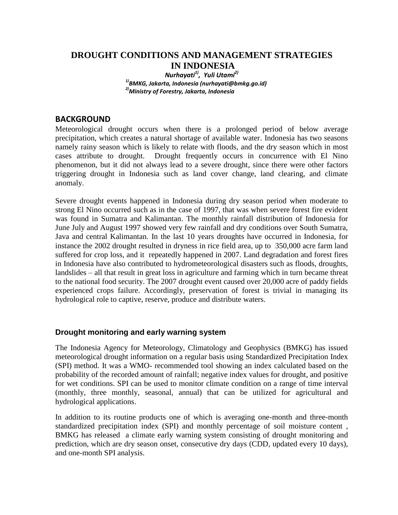# **DROUGHT CONDITIONS AND MANAGEMENT STRATEGIES IN INDONESIA**

*Nurhayati1), Yuli Utami2) 1)BMKG, Jakarta, Indonesia (nurhayati@bmkg.go.id) 2)Ministry of Forestry, Jakarta, Indonesia*

## **BACKGROUND**

Meteorological drought occurs when there is a prolonged period of below average precipitation, which creates a natural shortage of available water. Indonesia has two seasons namely rainy season which is likely to relate with floods, and the dry season which in most cases attribute to drought. Drought frequently occurs in concurrence with El Nino phenomenon, but it did not always lead to a severe drought, since there were other factors triggering drought in Indonesia such as land cover change, land clearing, and climate anomaly.

Severe drought events happened in Indonesia during dry season period when moderate to strong El Nino occurred such as in the case of 1997, that was when severe forest fire evident was found in Sumatra and Kalimantan. The monthly rainfall distribution of Indonesia for June July and August 1997 showed very few rainfall and dry conditions over South Sumatra, Java and central Kalimantan. In the last 10 years droughts have occurred in Indonesia, for instance the 2002 drought resulted in dryness in rice field area, up to 350,000 acre farm land suffered for crop loss, and it repeatedly happened in 2007. Land degradation and forest fires in Indonesia have also contributed to hydrometeorological disasters such as floods, droughts, landslides – all that result in great loss in agriculture and farming which in turn became threat to the national food security. The 2007 drought event caused over 20,000 acre of paddy fields experienced crops failure. Accordingly, preservation of forest is trivial in managing its hydrological role to captive, reserve, produce and distribute waters.

### **Drought monitoring and early warning system**

The Indonesia Agency for Meteorology, Climatology and Geophysics (BMKG) has issued meteorological drought information on a regular basis using Standardized Precipitation Index (SPI) method. It was a WMO- recommended tool showing an index calculated based on the probability of the recorded amount of rainfall; negative index values for drought, and positive for wet conditions. SPI can be used to monitor climate condition on a range of time interval (monthly, three monthly, seasonal, annual) that can be utilized for agricultural and hydrological applications.

In addition to its routine products one of which is averaging one-month and three-month standardized precipitation index (SPI) and monthly percentage of soil moisture content , BMKG has released a climate early warning system consisting of drought monitoring and prediction, which are dry season onset, consecutive dry days (CDD, updated every 10 days), and one-month SPI analysis.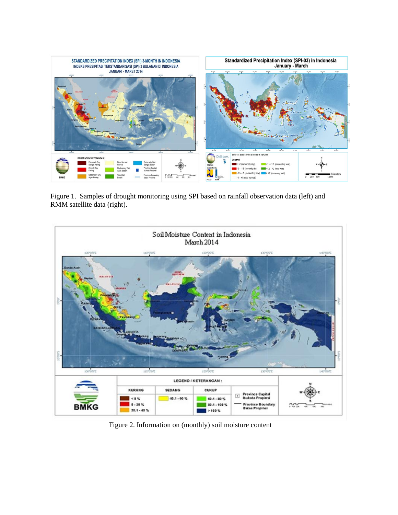

 Figure 1. Samples of drought monitoring using SPI based on rainfall observation data (left) and RMM satellite data (right).



Figure 2. Information on (monthly) soil moisture content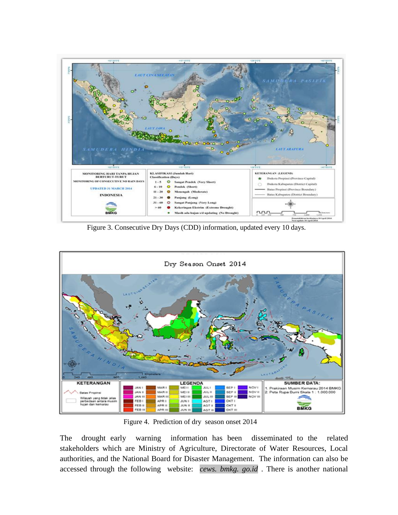

Figure 3. Consecutive Dry Days (CDD) information, updated every 10 days.



Figure 4. Prediction of dry season onset 2014

The drought early warning information has been disseminated to the related stakeholders which are Ministry of Agriculture, Directorate of Water Resources, Local authorities, and the National Board for Disaster Management. The information can also be accessed through the following website: *cews. bmkg. go.id* . There is another national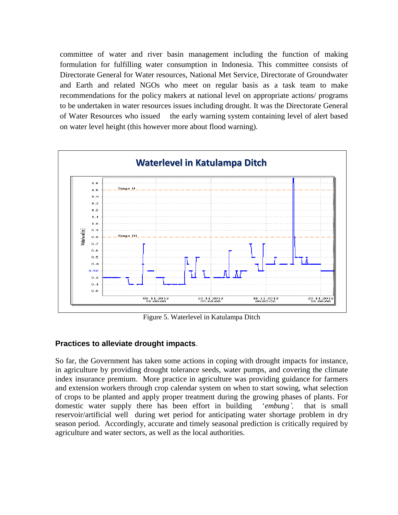committee of water and river basin management including the function of making formulation for fulfilling water consumption in Indonesia. This committee consists of Directorate General for Water resources, National Met Service, Directorate of Groundwater and Earth and related NGOs who meet on regular basis as a task team to make recommendations for the policy makers at national level on appropriate actions/ programs to be undertaken in water resources issues including drought. It was the Directorate General of Water Resources who issued the early warning system containing level of alert based on water level height (this however more about flood warning).



Figure 5. Waterlevel in Katulampa Ditch

### **Practices to alleviate drought impacts**.

So far, the Government has taken some actions in coping with drought impacts for instance, in agriculture by providing drought tolerance seeds, water pumps, and covering the climate index insurance premium. More practice in agriculture was providing guidance for farmers and extension workers through crop calendar system on when to start sowing, what selection of crops to be planted and apply proper treatment during the growing phases of plants. For domestic water supply there has been effort in building "*embung',* that is small reservoir/artificial well during wet period for anticipating water shortage problem in dry season period. Accordingly, accurate and timely seasonal prediction is critically required by agriculture and water sectors, as well as the local authorities.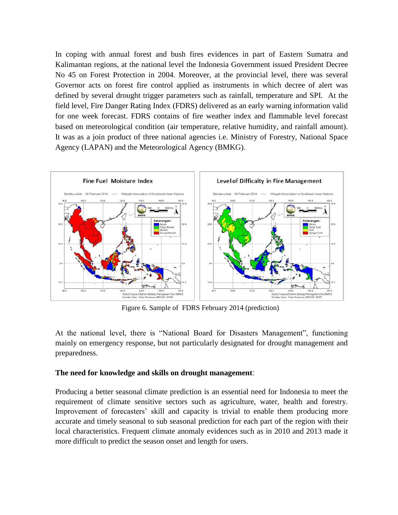In coping with annual forest and bush fires evidences in part of Eastern Sumatra and Kalimantan regions, at the national level the Indonesia Government issued President Decree No 45 on Forest Protection in 2004. Moreover, at the provincial level, there was several Governor acts on forest fire control applied as instruments in which decree of alert was defined by several drought trigger parameters such as rainfall, temperature and SPI. At the field level, Fire Danger Rating Index (FDRS) delivered as an early warning information valid for one week forecast. FDRS contains of fire weather index and flammable level forecast based on meteorological condition (air temperature, relative humidity, and rainfall amount). It was as a join product of three national agencies i.e. Ministry of Forestry, National Space Agency (LAPAN) and the Meteorological Agency (BMKG).



Figure 6. Sample of FDRS February 2014 (prediction)

At the national level, there is "National Board for Disasters Management", functioning mainly on emergency response, but not particularly designated for drought management and preparedness.

#### **The need for knowledge and skills on drought management**:

Producing a better seasonal climate prediction is an essential need for Indonesia to meet the requirement of climate sensitive sectors such as agriculture, water, health and forestry. Improvement of forecasters' skill and capacity is trivial to enable them producing more accurate and timely seasonal to sub seasonal prediction for each part of the region with their local characteristics. Frequent climate anomaly evidences such as in 2010 and 2013 made it more difficult to predict the season onset and length for users.